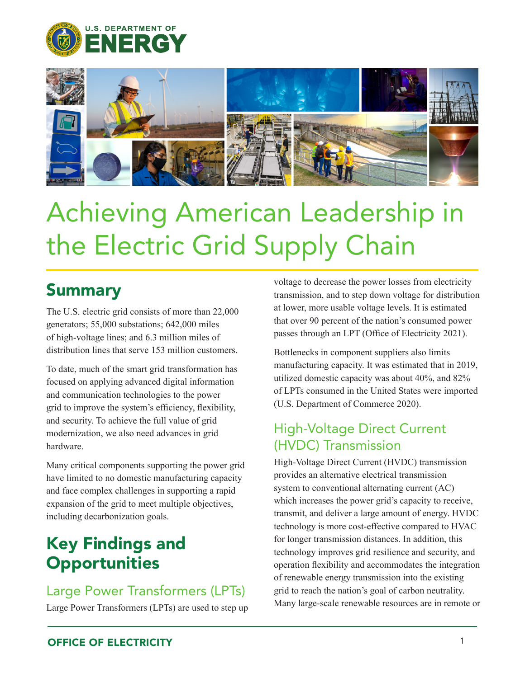



# Achieving American Leadership in the Electric Grid Supply Chain

## **Summary**

The U.S. electric grid consists of more than 22,000 generators; 55,000 substations; 642,000 miles of high-voltage lines; and 6.3 million miles of distribution lines that serve 153 million customers.

To date, much of the smart grid transformation has focused on applying advanced digital information and communication technologies to the power grid to improve the system's efficiency, flexibility, and security. To achieve the full value of grid modernization, we also need advances in grid hardware.

Many critical components supporting the power grid have limited to no domestic manufacturing capacity and face complex challenges in supporting a rapid expansion of the grid to meet multiple objectives, including decarbonization goals.

## Key Findings and **Opportunities**

### Large Power Transformers (LPTs)

Large Power Transformers (LPTs) are used to step up

voltage to decrease the power losses from electricity transmission, and to step down voltage for distribution at lower, more usable voltage levels. It is estimated that over 90 percent of the nation's consumed power passes through an LPT (Office of Electricity 2021).

Bottlenecks in component suppliers also limits manufacturing capacity. It was estimated that in 2019, utilized domestic capacity was about 40%, and 82% of LPTs consumed in the United States were imported (U.S. Department of Commerce 2020).

### High-Voltage Direct Current (HVDC) Transmission

High-Voltage Direct Current (HVDC) transmission provides an alternative electrical transmission system to conventional alternating current (AC) which increases the power grid's capacity to receive, transmit, and deliver a large amount of energy. HVDC technology is more cost-effective compared to HVAC for longer transmission distances. In addition, this technology improves grid resilience and security, and operation flexibility and accommodates the integration of renewable energy transmission into the existing grid to reach the nation's goal of carbon neutrality. Many large-scale renewable resources are in remote or